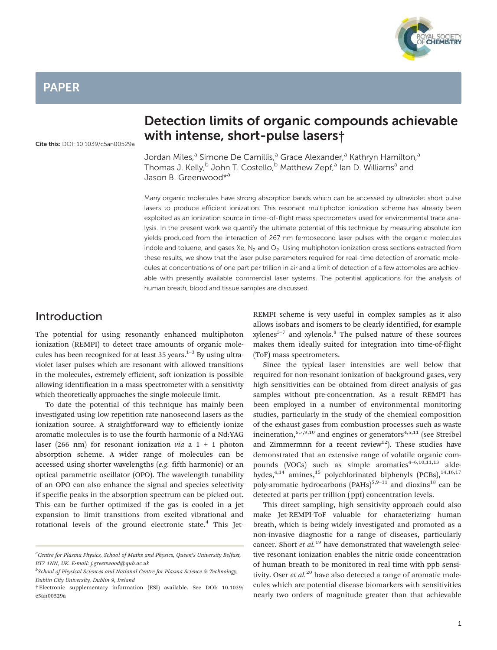

# PAPER

Cite this: DOI: 10.1039/c5an00529a

# Detection limits of organic compounds achievable with intense, short-pulse lasers†

Jordan Miles,<sup>a</sup> Simone De Camillis,<sup>a</sup> Grace Alexander,<sup>a</sup> Kathryn Hamilton,<sup>a</sup> Thomas J. Kelly,<sup>b</sup> John T. Costello,<sup>b</sup> Matthew Zepf,<sup>a</sup> Ian D. Williams<sup>a</sup> and Jason B. Greenwood\*<sup>a</sup>

Many organic molecules have strong absorption bands which can be accessed by ultraviolet short pulse lasers to produce efficient ionization. This resonant multiphoton ionization scheme has already been exploited as an ionization source in time-of-flight mass spectrometers used for environmental trace analysis. In the present work we quantify the ultimate potential of this technique by measuring absolute ion yields produced from the interaction of 267 nm femtosecond laser pulses with the organic molecules indole and toluene, and gases Xe,  $N_2$  and  $O_2$ . Using multiphoton ionization cross sections extracted from these results, we show that the laser pulse parameters required for real-time detection of aromatic molecules at concentrations of one part per trillion in air and a limit of detection of a few attomoles are achievable with presently available commercial laser systems. The potential applications for the analysis of human breath, blood and tissue samples are discussed.

### Introduction

The potential for using resonantly enhanced multiphoton ionization (REMPI) to detect trace amounts of organic molecules has been recognized for at least 35 years.<sup>1-3</sup> By using ultraviolet laser pulses which are resonant with allowed transitions in the molecules, extremely efficient, soft ionization is possible allowing identification in a mass spectrometer with a sensitivity which theoretically approaches the single molecule limit.

To date the potential of this technique has mainly been investigated using low repetition rate nanosecond lasers as the ionization source. A straightforward way to efficiently ionize aromatic molecules is to use the fourth harmonic of a Nd:YAG laser (266 nm) for resonant ionization *via* a  $1 + 1$  photon absorption scheme. A wider range of molecules can be accessed using shorter wavelengths (*e.g.* fifth harmonic) or an optical parametric oscillator (OPO). The wavelength tunability of an OPO can also enhance the signal and species selectivity if specific peaks in the absorption spectrum can be picked out. This can be further optimized if the gas is cooled in a jet expansion to limit transitions from excited vibrational and rotational levels of the ground electronic state.<sup>4</sup> This JetREMPI scheme is very useful in complex samples as it also allows isobars and isomers to be clearly identified, for example xylenes<sup>5-7</sup> and xylenols.<sup>8</sup> The pulsed nature of these sources makes them ideally suited for integration into time-of-flight (ToF) mass spectrometers.

Since the typical laser intensities are well below that required for non-resonant ionization of background gases, very high sensitivities can be obtained from direct analysis of gas samples without pre-concentration. As a result REMPI has been employed in a number of environmental monitoring studies, particularly in the study of the chemical composition of the exhaust gases from combustion processes such as waste incineration,  $6,7,9,10$  and engines or generators  $4,5,11$  (see Streibel and Zimmermnn for a recent review<sup>12</sup>). These studies have demonstrated that an extensive range of volatile organic compounds (VOCs) such as simple aromatics $4-6,10,11,13$  aldehydes, $4,14$  amines, $15$  polychlorinated biphenyls (PCBs), $14,16,17$ poly-aromatic hydrocarbons  $(PAHs)^{5,9-11}$  and dioxins<sup>18</sup> can be detected at parts per trillion (ppt) concentration levels.

This direct sampling, high sensitivity approach could also make Jet-REMPI-ToF valuable for characterizing human breath, which is being widely investigated and promoted as a non-invasive diagnostic for a range of diseases, particularly cancer. Short *et al.*<sup>19</sup> have demonstrated that wavelength selective resonant ionization enables the nitric oxide concentration of human breath to be monitored in real time with ppb sensitivity. Oser *et al.*<sup>20</sup> have also detected a range of aromatic molecules which are potential disease biomarkers with sensitivities nearly two orders of magnitude greater than that achievable

*<sup>a</sup>Centre for Plasma Physics, School of Maths and Physics, Queen*'*s University Belfast, BT7 1NN, UK. E-mail: j.greenwood@qub.ac.uk*

*b School of Physical Sciences and National Centre for Plasma Science & Technology, Dublin City University, Dublin 9, Ireland*

<sup>†</sup>Electronic supplementary information (ESI) available. See DOI: 10.1039/ c5an00529a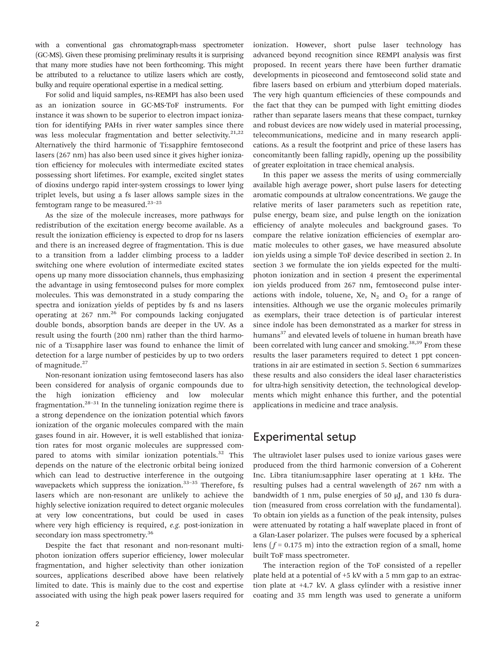with a conventional gas chromatograph-mass spectrometer (GC-MS). Given these promising preliminary results it is surprising that many more studies have not been forthcoming. This might be attributed to a reluctance to utilize lasers which are costly, bulky and require operational expertise in a medical setting.

For solid and liquid samples, ns-REMPI has also been used as an ionization source in GC-MS-ToF instruments. For instance it was shown to be superior to electron impact ionization for identifying PAHs in river water samples since there was less molecular fragmentation and better selectivity.<sup>21,22</sup> Alternatively the third harmonic of Ti:sapphire femtosecond lasers (267 nm) has also been used since it gives higher ionization efficiency for molecules with intermediate excited states possessing short lifetimes. For example, excited singlet states of dioxins undergo rapid inter-system crossings to lower lying triplet levels, but using a fs laser allows sample sizes in the femtogram range to be measured. $23-25$ 

As the size of the molecule increases, more pathways for redistribution of the excitation energy become available. As a result the ionization efficiency is expected to drop for ns lasers and there is an increased degree of fragmentation. This is due to a transition from a ladder climbing process to a ladder switching one where evolution of intermediate excited states opens up many more dissociation channels, thus emphasizing the advantage in using femtosecond pulses for more complex molecules. This was demonstrated in a study comparing the spectra and ionization yields of peptides by fs and ns lasers operating at 267 nm.<sup>26</sup> For compounds lacking conjugated double bonds, absorption bands are deeper in the UV. As a result using the fourth (200 nm) rather than the third harmonic of a Ti:sapphire laser was found to enhance the limit of detection for a large number of pesticides by up to two orders of magnitude.<sup>27</sup>

Non-resonant ionization using femtosecond lasers has also been considered for analysis of organic compounds due to the high ionization efficiency and low molecular fragmentation.<sup>28–31</sup> In the tunneling ionization regime there is a strong dependence on the ionization potential which favors ionization of the organic molecules compared with the main gases found in air. However, it is well established that ionization rates for most organic molecules are suppressed compared to atoms with similar ionization potentials.<sup>32</sup> This depends on the nature of the electronic orbital being ionized which can lead to destructive interference in the outgoing wavepackets which suppress the ionization. $33-35$  Therefore, fs lasers which are non-resonant are unlikely to achieve the highly selective ionization required to detect organic molecules at very low concentrations, but could be used in cases where very high efficiency is required, *e.g.* post-ionization in secondary ion mass spectrometry.<sup>36</sup>

Despite the fact that resonant and non-resonant multiphoton ionization offers superior efficiency, lower molecular fragmentation, and higher selectivity than other ionization sources, applications described above have been relatively limited to date. This is mainly due to the cost and expertise associated with using the high peak power lasers required for

ionization. However, short pulse laser technology has advanced beyond recognition since REMPI analysis was first proposed. In recent years there have been further dramatic developments in picosecond and femtosecond solid state and fibre lasers based on erbium and ytterbium doped materials. The very high quantum efficiencies of these compounds and the fact that they can be pumped with light emitting diodes rather than separate lasers means that these compact, turnkey and robust devices are now widely used in material processing, telecommunications, medicine and in many research applications. As a result the footprint and price of these lasers has concomitantly been falling rapidly, opening up the possibility of greater exploitation in trace chemical analysis.

In this paper we assess the merits of using commercially available high average power, short pulse lasers for detecting aromatic compounds at ultralow concentrations. We gauge the relative merits of laser parameters such as repetition rate, pulse energy, beam size, and pulse length on the ionization efficiency of analyte molecules and background gases. To compare the relative ionization efficiencies of exemplar aromatic molecules to other gases, we have measured absolute ion yields using a simple ToF device described in section 2. In section 3 we formulate the ion yields expected for the multiphoton ionization and in section 4 present the experimental ion yields produced from 267 nm, femtosecond pulse interactions with indole, toluene, Xe,  $N_2$  and  $O_2$  for a range of intensities. Although we use the organic molecules primarily as exemplars, their trace detection is of particular interest since indole has been demonstrated as a marker for stress in humans<sup>37</sup> and elevated levels of toluene in human breath have been correlated with lung cancer and smoking.<sup>38,39</sup> From these results the laser parameters required to detect 1 ppt concentrations in air are estimated in section 5. Section 6 summarizes these results and also considers the ideal laser characteristics for ultra-high sensitivity detection, the technological developments which might enhance this further, and the potential applications in medicine and trace analysis.

# Experimental setup

The ultraviolet laser pulses used to ionize various gases were produced from the third harmonic conversion of a Coherent Inc. Libra titanium:sapphire laser operating at 1 kHz. The resulting pulses had a central wavelength of 267 nm with a bandwidth of 1 nm, pulse energies of 50 μJ, and 130 fs duration (measured from cross correlation with the fundamental). To obtain ion yields as a function of the peak intensity, pulses were attenuated by rotating a half waveplate placed in front of a Glan-Laser polarizer. The pulses were focused by a spherical lens  $(f = 0.175 \text{ m})$  into the extraction region of a small, home built ToF mass spectrometer.

The interaction region of the ToF consisted of a repeller plate held at a potential of +5 kV with a 5 mm gap to an extraction plate at +4.7 kV. A glass cylinder with a resistive inner coating and 35 mm length was used to generate a uniform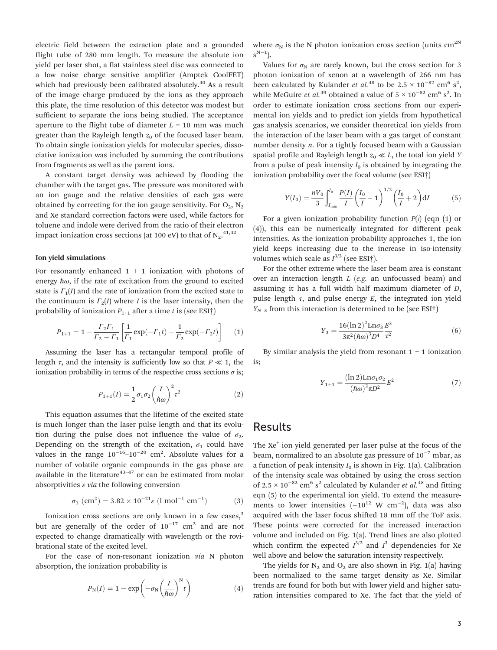electric field between the extraction plate and a grounded flight tube of 280 mm length. To measure the absolute ion yield per laser shot, a flat stainless steel disc was connected to a low noise charge sensitive amplifier (Amptek CoolFET) which had previously been calibrated absolutely.<sup>40</sup> As a result of the image charge produced by the ions as they approach this plate, the time resolution of this detector was modest but sufficient to separate the ions being studied. The acceptance aperture to the flight tube of diameter  $L = 10$  mm was much greater than the Rayleigh length  $z_0$  of the focused laser beam. To obtain single ionization yields for molecular species, dissociative ionization was included by summing the contributions from fragments as well as the parent ions.

A constant target density was achieved by flooding the chamber with the target gas. The pressure was monitored with an ion gauge and the relative densities of each gas were obtained by correcting for the ion gauge sensitivity. For  $O_2$ ,  $N_2$ and Xe standard correction factors were used, while factors for toluene and indole were derived from the ratio of their electron impact ionization cross sections (at 100 eV) to that of  $N_2$ .<sup>41,42</sup>

#### Ion yield simulations

For resonantly enhanced  $1 + 1$  ionization with photons of energy  $\hbar\omega$ , if the rate of excitation from the ground to excited state is  $\Gamma_1(I)$  and the rate of ionization from the excited state to the continuum is  $\Gamma_2(I)$  where *I* is the laser intensity, then the probability of ionization  $P_{1+1}$  after a time *t* is (see ESI†)

$$
P_{1+1} = 1 - \frac{\Gamma_2 \Gamma_1}{\Gamma_2 - \Gamma_1} \left[ \frac{1}{\Gamma_1} \exp(-\Gamma_1 t) - \frac{1}{\Gamma_2} \exp(-\Gamma_2 t) \right] \tag{1}
$$

Assuming the laser has a rectangular temporal profile of length  $\tau$ , and the intensity is sufficiently low so that  $P \ll 1$ , the ionization probability in terms of the respective cross sections  $\sigma$  is;

$$
P_{1+1}(I) = \frac{1}{2}\sigma_1\sigma_2 \left(\frac{I}{\hbar\omega}\right)^2 \tau^2
$$
 (2)

This equation assumes that the lifetime of the excited state is much longer than the laser pulse length and that its evolution during the pulse does not influence the value of  $\sigma_2$ . Depending on the strength of the excitation,  $\sigma_1$  could have values in the range  $10^{-16}$ - $10^{-20}$  cm<sup>2</sup>. Absolute values for a number of volatile organic compounds in the gas phase are available in the literature<sup>43-47</sup> or can be estimated from molar absorptivities ε *via* the following conversion

$$
\sigma_1 \text{ (cm}^2) = 3.82 \times 10^{-21} \varepsilon \text{ (l mol}^{-1} \text{ cm}^{-1}) \tag{3}
$$

Ionization cross sections are only known in a few cases, $3$ but are generally of the order of  $10^{-17}$  cm<sup>2</sup> and are not expected to change dramatically with wavelength or the rovibrational state of the excited level.

For the case of non-resonant ionization *via* N photon absorption, the ionization probability is

$$
P_{\rm N}(I) = 1 - \exp\bigg(-\sigma_{\rm N}\bigg(\frac{I}{\hbar\omega}\bigg)^{\rm N}t\bigg) \tag{4}
$$

where  $\sigma_N$  is the N photon ionization cross section (units cm<sup>2N</sup>)  $s^{N-1}$ ).

Values for  $\sigma_N$  are rarely known, but the cross section for 3 photon ionization of xenon at a wavelength of 266 nm has been calculated by Kulander *et al.*<sup>48</sup> to be  $2.5 \times 10^{-82}$  cm<sup>6</sup> s<sup>2</sup>, while McGuire *et al.*<sup>49</sup> obtained a value of  $5 \times 10^{-82}$  cm<sup>6</sup> s<sup>2</sup>. In order to estimate ionization cross sections from our experimental ion yields and to predict ion yields from hypothetical gas analysis scenarios, we consider theoretical ion yields from the interaction of the laser beam with a gas target of constant number density *n*. For a tightly focused beam with a Gaussian spatial profile and Rayleigh length  $z_0 \ll L$ , the total ion yield *Y* from a pulse of peak intensity  $I_0$  is obtained by integrating the ionization probability over the focal volume (see ESI†)

$$
Y(I_0) = \frac{nV_0}{3} \int_{I_{\min}}^{I_0} \frac{P(I)}{I} \left(\frac{I_0}{I} - 1\right)^{1/2} \left(\frac{I_0}{I} + 2\right) dI \tag{5}
$$

For a given ionization probability function *P*(*I*) (eqn (1) or (4)), this can be numerically integrated for different peak intensities. As the ionization probability approaches 1, the ion yield keeps increasing due to the increase in iso-intensity volumes which scale as *I* 3/2 (see ESI†).

For the other extreme where the laser beam area is constant over an interaction length *L* (*e.g.* an unfocussed beam) and assuming it has a full width half maximum diameter of *D*, pulse length  $\tau$ , and pulse energy  $E$ , the integrated ion yield  $Y_{N=3}$  from this interaction is determined to be (see ESI†)

$$
Y_3 = \frac{16(\ln 2)^2 \ln \sigma_3 E^3}{3\pi^2 (\hbar \omega)^3 D^4} \frac{E^3}{\tau^2}
$$
 (6)

By similar analysis the yield from resonant  $1 + 1$  ionization is;

$$
Y_{1+1} = \frac{(\ln 2)\text{Ln}\sigma_1\sigma_2}{(\hbar\omega)^2 \pi D^2} E^2
$$
 (7)

### Results

The Xe<sup>+</sup> ion yield generated per laser pulse at the focus of the beam, normalized to an absolute gas pressure of  $10^{-7}$  mbar, as a function of peak intensity  $I_0$  is shown in Fig. 1(a). Calibration of the intensity scale was obtained by using the cross section of 2.5 × 10<sup>-82</sup> cm<sup>6</sup> s<sup>2</sup> calculated by Kulander *et al.*<sup>48</sup> and fitting eqn (5) to the experimental ion yield. To extend the measurements to lower intensities ( $\sim 10^{12}$  W cm<sup>-2</sup>), data was also acquired with the laser focus shifted 18 mm off the ToF axis. These points were corrected for the increased interaction volume and included on Fig. 1(a). Trend lines are also plotted which confirm the expected  $I^{3/2}$  and  $I^3$  dependencies for Xe well above and below the saturation intensity respectively.

The yields for  $N_2$  and  $O_2$  are also shown in Fig. 1(a) having been normalized to the same target density as Xe. Similar trends are found for both but with lower yield and higher saturation intensities compared to Xe. The fact that the yield of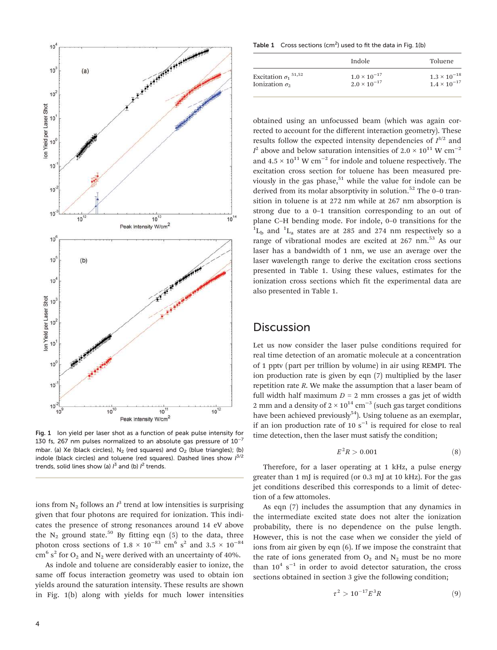

Fig. 1 Ion yield per laser shot as a function of peak pulse intensity for 130 fs, 267 nm pulses normalized to an absolute gas pressure of  $10^{-7}$ mbar. (a) Xe (black circles),  $N_2$  (red squares) and  $O_2$  (blue triangles); (b) indole (black circles) and toluene (red squares). Dashed lines show  $I^{3/2}$ trends, solid lines show (a)  $I^3$  and (b)  $I^2$  trends.

ions from  $N_2$  follows an  $I^3$  trend at low intensities is surprising given that four photons are required for ionization. This indicates the presence of strong resonances around 14 eV above the  $N_2$  ground state.<sup>50</sup> By fitting eqn (5) to the data, three photon cross sections of  $1.8 \times 10^{-83}$  cm<sup>6</sup> s<sup>2</sup> and  $3.5 \times 10^{-84}$  $\text{cm}^6 \text{ s}^2$  for  $\text{O}_2$  and  $\text{N}_2$  were derived with an uncertainty of 40%.

As indole and toluene are considerably easier to ionize, the same off focus interaction geometry was used to obtain ion yields around the saturation intensity. These results are shown in Fig. 1(b) along with yields for much lower intensities

Table 1 Cross sections (cm<sup>2</sup>) used to fit the data in Fig.  $1(b)$ 

|                                        | Indole                | Toluene               |
|----------------------------------------|-----------------------|-----------------------|
| Excitation $\sigma_1$ <sup>51,52</sup> | $1.0 \times 10^{-17}$ | $1.3 \times 10^{-18}$ |
| Ionization $\sigma_2$                  | $2.0 \times 10^{-17}$ | $1.4 \times 10^{-17}$ |

obtained using an unfocussed beam (which was again corrected to account for the different interaction geometry). These results follow the expected intensity dependencies of  $I^{3/2}$  and  $I^2$  above and below saturation intensities of 2.0 × 10<sup>11</sup> W cm<sup>-2</sup> and  $4.5 \times 10^{11}$  W cm<sup>-2</sup> for indole and toluene respectively. The excitation cross section for toluene has been measured previously in the gas phase, $51$  while the value for indole can be derived from its molar absorptivity in solution.<sup>52</sup> The 0-0 transition in toluene is at 272 nm while at 267 nm absorption is strong due to a 0–1 transition corresponding to an out of plane C–H bending mode. For indole, 0–0 transitions for the  ${}^{1}L_{b}$  and  ${}^{1}L_{a}$  states are at 285 and 274 nm respectively so a range of vibrational modes are excited at  $267$  nm.<sup>53</sup> As our laser has a bandwidth of 1 nm, we use an average over the laser wavelength range to derive the excitation cross sections presented in Table 1. Using these values, estimates for the ionization cross sections which fit the experimental data are also presented in Table 1.

# **Discussion**

Let us now consider the laser pulse conditions required for real time detection of an aromatic molecule at a concentration of 1 pptv (part per trillion by volume) in air using REMPI. The ion production rate is given by eqn (7) multiplied by the laser repetition rate *R*. We make the assumption that a laser beam of full width half maximum  $D = 2$  mm crosses a gas jet of width 2 mm and a density of  $2 \times 10^{14}$  cm<sup>-3</sup> (such gas target conditions have been achieved previously<sup>54</sup>). Using toluene as an exemplar, if an ion production rate of  $10 s^{-1}$  is required for close to real time detection, then the laser must satisfy the condition;

$$
E^2 R > 0.001\tag{8}
$$

Therefore, for a laser operating at 1 kHz, a pulse energy greater than 1 mJ is required (or 0.3 mJ at 10 kHz). For the gas jet conditions described this corresponds to a limit of detection of a few attomoles.

As eqn (7) includes the assumption that any dynamics in the intermediate excited state does not alter the ionization probability, there is no dependence on the pulse length. However, this is not the case when we consider the yield of ions from air given by eqn (6). If we impose the constraint that the rate of ions generated from  $O_2$  and  $N_2$  must be no more than  $10^4$  s<sup>-1</sup> in order to avoid detector saturation, the cross sections obtained in section 3 give the following condition;

$$
\tau^2 > 10^{-17} E^3 R \tag{9}
$$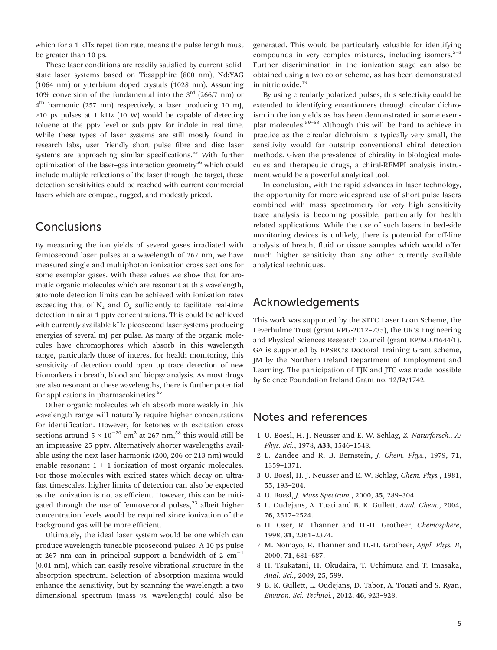which for a 1 kHz repetition rate, means the pulse length must be greater than 10 ps.

These laser conditions are readily satisfied by current solidstate laser systems based on Ti:sapphire (800 nm), Nd:YAG (1064 nm) or ytterbium doped crystals (1028 nm). Assuming 10% conversion of the fundamental into the  $3<sup>rd</sup>$  (266/7 nm) or 4<sup>th</sup> harmonic (257 nm) respectively, a laser producing 10 mJ, >10 ps pulses at 1 kHz (10 W) would be capable of detecting toluene at the pptv level or sub pptv for indole in real time. While these types of laser systems are still mostly found in research labs, user friendly short pulse fibre and disc laser systems are approaching similar specifications.<sup>55</sup> With further optimization of the laser–gas interaction geometry<sup>56</sup> which could include multiple reflections of the laser through the target, these detection sensitivities could be reached with current commercial lasers which are compact, rugged, and modestly priced.

## **Conclusions**

By measuring the ion yields of several gases irradiated with femtosecond laser pulses at a wavelength of 267 nm, we have measured single and multiphoton ionization cross sections for some exemplar gases. With these values we show that for aromatic organic molecules which are resonant at this wavelength, attomole detection limits can be achieved with ionization rates exceeding that of  $N_2$  and  $O_2$  sufficiently to facilitate real-time detection in air at 1 pptv concentrations. This could be achieved with currently available kHz picosecond laser systems producing energies of several mJ per pulse. As many of the organic molecules have chromophores which absorb in this wavelength range, particularly those of interest for health monitoring, this sensitivity of detection could open up trace detection of new biomarkers in breath, blood and biopsy analysis. As most drugs are also resonant at these wavelengths, there is further potential for applications in pharmacokinetics.<sup>57</sup>

Other organic molecules which absorb more weakly in this wavelength range will naturally require higher concentrations for identification. However, for ketones with excitation cross sections around  $5 \times 10^{-20}$  cm<sup>2</sup> at 267 nm,<sup>58</sup> this would still be an impressive 25 pptv. Alternatively shorter wavelengths available using the next laser harmonic (200, 206 or 213 nm) would enable resonant 1 + 1 ionization of most organic molecules. For those molecules with excited states which decay on ultrafast timescales, higher limits of detection can also be expected as the ionization is not as efficient. However, this can be mitigated through the use of femtosecond pulses, $^{23}$  albeit higher concentration levels would be required since ionization of the background gas will be more efficient.

Ultimately, the ideal laser system would be one which can produce wavelength tuneable picosecond pulses. A 10 ps pulse at 267 nm can in principal support a bandwidth of 2  $cm^{-1}$ (0.01 nm), which can easily resolve vibrational structure in the absorption spectrum. Selection of absorption maxima would enhance the sensitivity, but by scanning the wavelength a two dimensional spectrum (mass *vs.* wavelength) could also be generated. This would be particularly valuable for identifying compounds in very complex mixtures, including isomers. $5-8$ Further discrimination in the ionization stage can also be obtained using a two color scheme, as has been demonstrated in nitric oxide.<sup>19</sup>

By using circularly polarized pulses, this selectivity could be extended to identifying enantiomers through circular dichroism in the ion yields as has been demonstrated in some exemplar molecules.59–<sup>63</sup> Although this will be hard to achieve in practice as the circular dichroism is typically very small, the sensitivity would far outstrip conventional chiral detection methods. Given the prevalence of chirality in biological molecules and therapeutic drugs, a chiral-REMPI analysis instrument would be a powerful analytical tool.

In conclusion, with the rapid advances in laser technology, the opportunity for more widespread use of short pulse lasers combined with mass spectrometry for very high sensitivity trace analysis is becoming possible, particularly for health related applications. While the use of such lasers in bed-side monitoring devices is unlikely, there is potential for off-line analysis of breath, fluid or tissue samples which would offer much higher sensitivity than any other currently available analytical techniques.

# Acknowledgements

This work was supported by the STFC Laser Loan Scheme, the Leverhulme Trust (grant RPG-2012–735), the UK's Engineering and Physical Sciences Research Council (grant EP/M001644/1). GA is supported by EPSRC's Doctoral Training Grant scheme, JM by the Northern Ireland Department of Employment and Learning. The participation of TJK and JTC was made possible by Science Foundation Ireland Grant no. 12/IA/1742.

# Notes and references

- 1 U. Boesl, H. J. Neusser and E. W. Schlag, *Z. Naturforsch., A: Phys. Sci.*, 1978, A33, 1546–1548.
- 2 L. Zandee and R. B. Bernstein, *J. Chem. Phys.*, 1979, 71, 1359–1371.
- 3 U. Boesl, H. J. Neusser and E. W. Schlag, *Chem. Phys.*, 1981, 55, 193–204.
- 4 U. Boesl, *J. Mass Spectrom.*, 2000, 35, 289–304.
- 5 L. Oudejans, A. Tuati and B. K. Gullett, *Anal. Chem.*, 2004, 76, 2517–2524.
- 6 H. Oser, R. Thanner and H.-H. Grotheer, *Chemosphere*, 1998, 31, 2361–2374.
- 7 M. Nomayo, R. Thanner and H.-H. Grotheer, *Appl. Phys. B*, 2000, 71, 681–687.
- 8 H. Tsukatani, H. Okudaira, T. Uchimura and T. Imasaka, *Anal. Sci.*, 2009, 25, 599.
- 9 B. K. Gullett, L. Oudejans, D. Tabor, A. Touati and S. Ryan, *Environ. Sci. Technol.*, 2012, 46, 923–928.